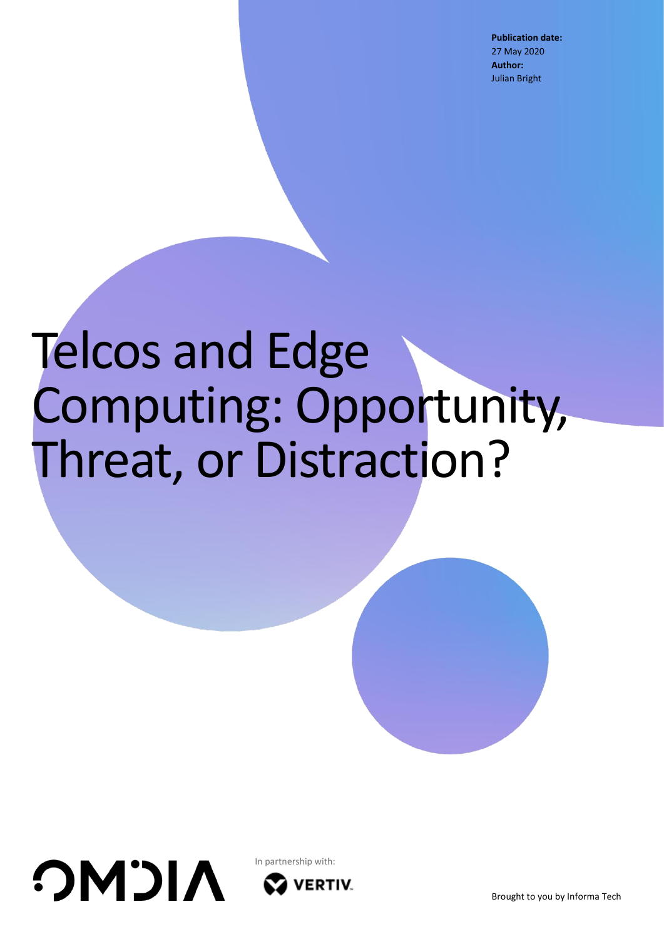**Publication date:** 27 May 2020 **Author:** Julian Bright

# Telcos and Edge Computing: Opportunity, Threat, or Distraction?





In partnership with:**VERTIV**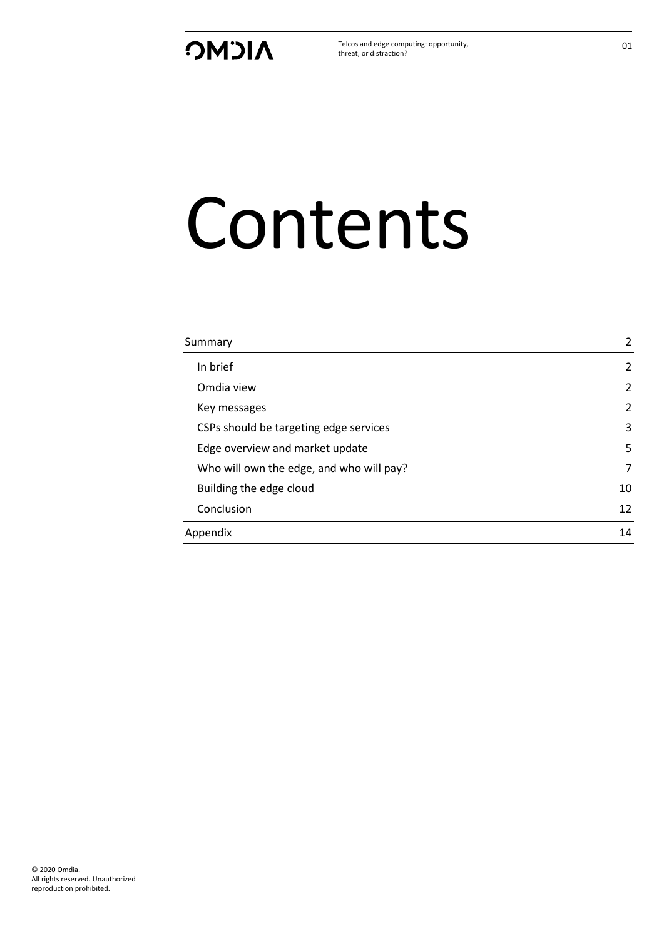Telcos and edge computing: opportunity, threat, or distraction?

# Contents

| Summary                                  | 2              |
|------------------------------------------|----------------|
| In brief                                 | $\overline{2}$ |
| Omdia view                               | 2              |
| Key messages                             | 2              |
| CSPs should be targeting edge services   | 3              |
| Edge overview and market update          | 5              |
| Who will own the edge, and who will pay? | 7              |
| Building the edge cloud                  | 10             |
| Conclusion                               | 12             |
| Appendix                                 | 14             |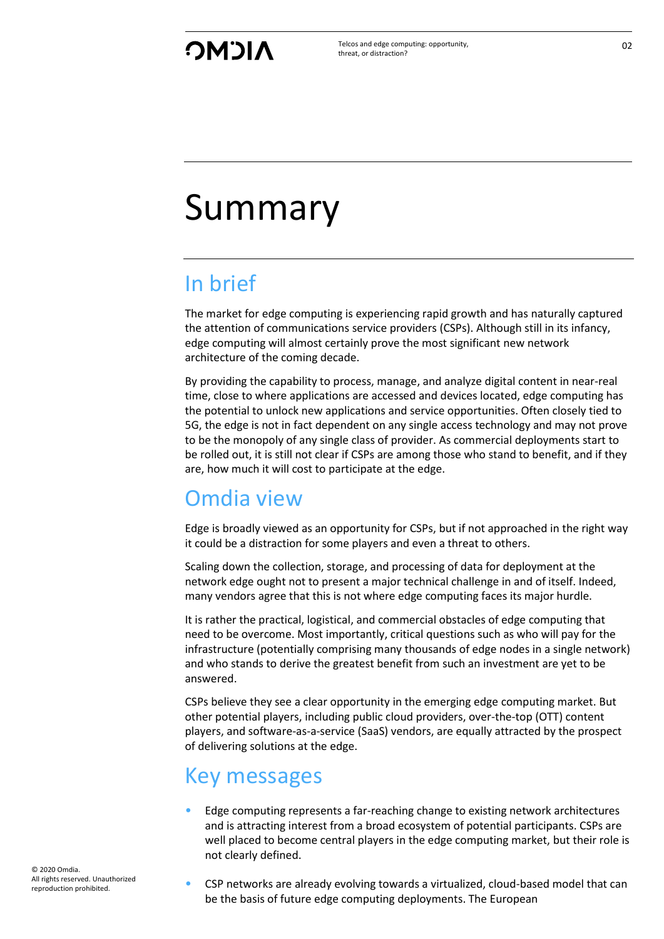Telcos and edge computing: opportunity, threat, or distraction?

## <span id="page-2-0"></span>Summary

## <span id="page-2-1"></span>In brief

The market for edge computing is experiencing rapid growth and has naturally captured the attention of communications service providers (CSPs). Although still in its infancy, edge computing will almost certainly prove the most significant new network architecture of the coming decade.

By providing the capability to process, manage, and analyze digital content in near-real time, close to where applications are accessed and devices located, edge computing has the potential to unlock new applications and service opportunities. Often closely tied to 5G, the edge is not in fact dependent on any single access technology and may not prove to be the monopoly of any single class of provider. As commercial deployments start to be rolled out, it is still not clear if CSPs are among those who stand to benefit, and if they are, how much it will cost to participate at the edge.

## <span id="page-2-2"></span>Omdia view

Edge is broadly viewed as an opportunity for CSPs, but if not approached in the right way it could be a distraction for some players and even a threat to others.

Scaling down the collection, storage, and processing of data for deployment at the network edge ought not to present a major technical challenge in and of itself. Indeed, many vendors agree that this is not where edge computing faces its major hurdle.

It is rather the practical, logistical, and commercial obstacles of edge computing that need to be overcome. Most importantly, critical questions such as who will pay for the infrastructure (potentially comprising many thousands of edge nodes in a single network) and who stands to derive the greatest benefit from such an investment are yet to be answered.

CSPs believe they see a clear opportunity in the emerging edge computing market. But other potential players, including public cloud providers, over-the-top (OTT) content players, and software-as-a-service (SaaS) vendors, are equally attracted by the prospect of delivering solutions at the edge.

## <span id="page-2-3"></span>Key messages

- Edge computing represents a far-reaching change to existing network architectures and is attracting interest from a broad ecosystem of potential participants. CSPs are well placed to become central players in the edge computing market, but their role is not clearly defined.
- CSP networks are already evolving towards a virtualized, cloud-based model that can be the basis of future edge computing deployments. The European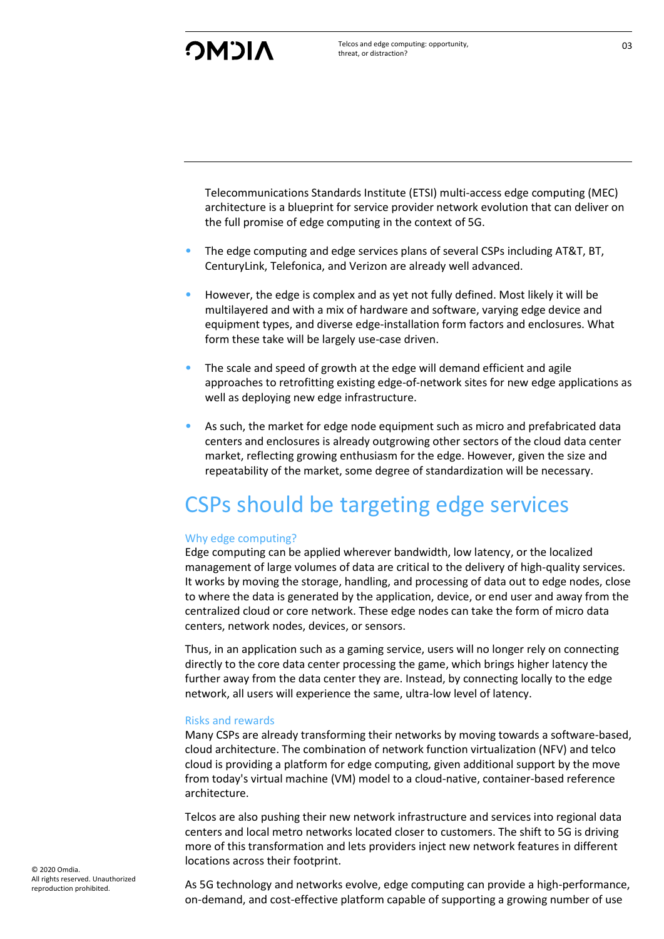Telecommunications Standards Institute (ETSI) multi-access edge computing (MEC) architecture is a blueprint for service provider network evolution that can deliver on the full promise of edge computing in the context of 5G.

- The edge computing and edge services plans of several CSPs including AT&T, BT, CenturyLink, Telefonica, and Verizon are already well advanced.
- However, the edge is complex and as yet not fully defined. Most likely it will be multilayered and with a mix of hardware and software, varying edge device and equipment types, and diverse edge-installation form factors and enclosures. What form these take will be largely use-case driven.
- The scale and speed of growth at the edge will demand efficient and agile approaches to retrofitting existing edge-of-network sites for new edge applications as well as deploying new edge infrastructure.
- As such, the market for edge node equipment such as micro and prefabricated data centers and enclosures is already outgrowing other sectors of the cloud data center market, reflecting growing enthusiasm for the edge. However, given the size and repeatability of the market, some degree of standardization will be necessary.

## <span id="page-3-0"></span>CSPs should be targeting edge services

#### Why edge computing?

Edge computing can be applied wherever bandwidth, low latency, or the localized management of large volumes of data are critical to the delivery of high-quality services. It works by moving the storage, handling, and processing of data out to edge nodes, close to where the data is generated by the application, device, or end user and away from the centralized cloud or core network. These edge nodes can take the form of micro data centers, network nodes, devices, or sensors.

Thus, in an application such as a gaming service, users will no longer rely on connecting directly to the core data center processing the game, which brings higher latency the further away from the data center they are. Instead, by connecting locally to the edge network, all users will experience the same, ultra-low level of latency.

#### Risks and rewards

Many CSPs are already transforming their networks by moving towards a software-based, cloud architecture. The combination of network function virtualization (NFV) and telco cloud is providing a platform for edge computing, given additional support by the move from today's virtual machine (VM) model to a cloud-native, container-based reference architecture.

Telcos are also pushing their new network infrastructure and services into regional data centers and local metro networks located closer to customers. The shift to 5G is driving more of this transformation and lets providers inject new network features in different locations across their footprint.

As 5G technology and networks evolve, edge computing can provide a high-performance, on-demand, and cost-effective platform capable of supporting a growing number of use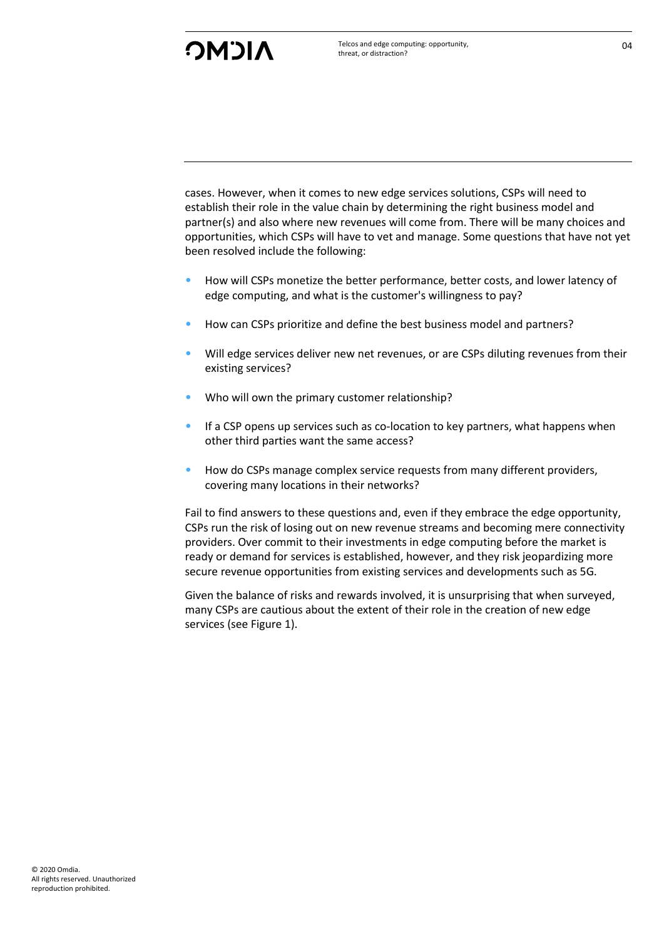cases. However, when it comes to new edge services solutions, CSPs will need to establish their role in the value chain by determining the right business model and partner(s) and also where new revenues will come from. There will be many choices and opportunities, which CSPs will have to vet and manage. Some questions that have not yet been resolved include the following:

- How will CSPs monetize the better performance, better costs, and lower latency of edge computing, and what is the customer's willingness to pay?
- How can CSPs prioritize and define the best business model and partners?
- Will edge services deliver new net revenues, or are CSPs diluting revenues from their existing services?
- Who will own the primary customer relationship?
- If a CSP opens up services such as co-location to key partners, what happens when other third parties want the same access?
- How do CSPs manage complex service requests from many different providers, covering many locations in their networks?

Fail to find answers to these questions and, even if they embrace the edge opportunity, CSPs run the risk of losing out on new revenue streams and becoming mere connectivity providers. Over commit to their investments in edge computing before the market is ready or demand for services is established, however, and they risk jeopardizing more secure revenue opportunities from existing services and developments such as 5G.

Given the balance of risks and rewards involved, it is unsurprising that when surveyed, many CSPs are cautious about the extent of their role in the creation of new edge services (see Figure 1).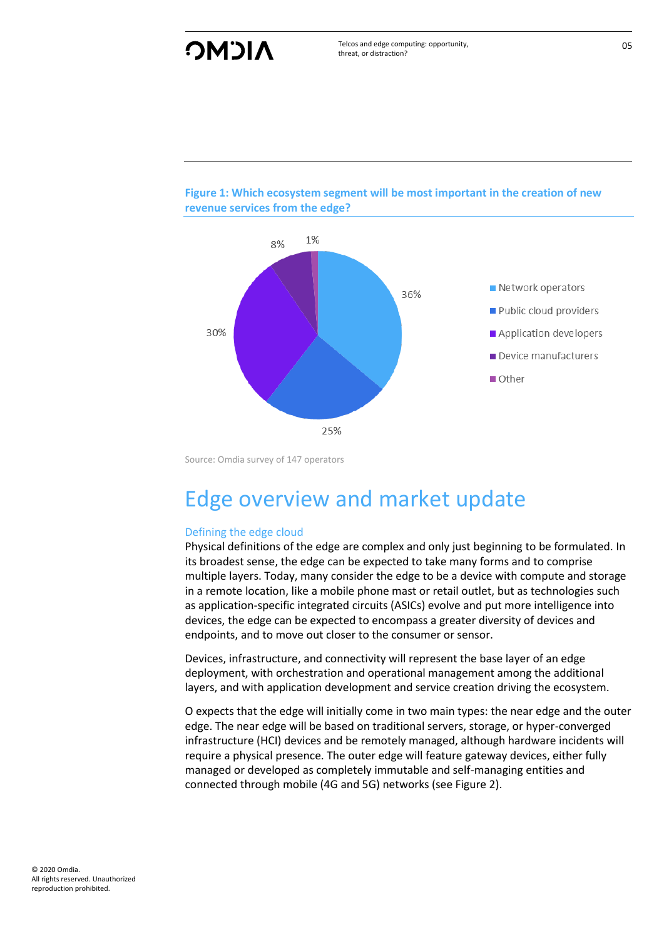



Source: Omdia survey of 147 operators

## <span id="page-5-0"></span>Edge overview and market update

#### Defining the edge cloud

Physical definitions of the edge are complex and only just beginning to be formulated. In its broadest sense, the edge can be expected to take many forms and to comprise multiple layers. Today, many consider the edge to be a device with compute and storage in a remote location, like a mobile phone mast or retail outlet, but as technologies such as application-specific integrated circuits (ASICs) evolve and put more intelligence into devices, the edge can be expected to encompass a greater diversity of devices and endpoints, and to move out closer to the consumer or sensor.

Devices, infrastructure, and connectivity will represent the base layer of an edge deployment, with orchestration and operational management among the additional layers, and with application development and service creation driving the ecosystem.

O expects that the edge will initially come in two main types: the near edge and the outer edge. The near edge will be based on traditional servers, storage, or hyper-converged infrastructure (HCI) devices and be remotely managed, although hardware incidents will require a physical presence. The outer edge will feature gateway devices, either fully managed or developed as completely immutable and self-managing entities and connected through mobile (4G and 5G) networks (see Figure 2).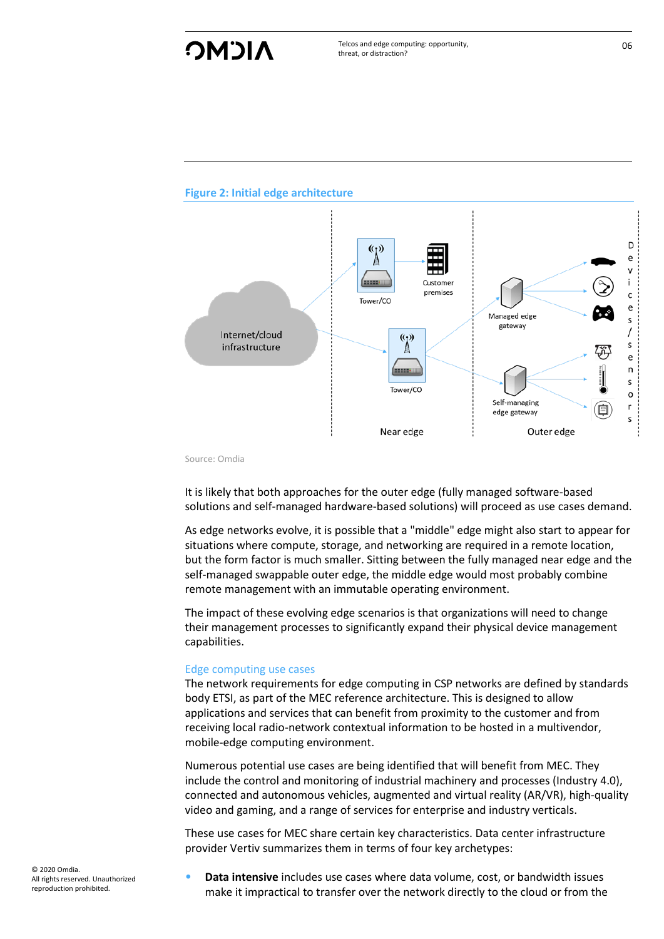## **NICMC**

#### **Figure 2: Initial edge architecture**



Source: Omdia

It is likely that both approaches for the outer edge (fully managed software-based solutions and self-managed hardware-based solutions) will proceed as use cases demand.

As edge networks evolve, it is possible that a "middle" edge might also start to appear for situations where compute, storage, and networking are required in a remote location, but the form factor is much smaller. Sitting between the fully managed near edge and the self-managed swappable outer edge, the middle edge would most probably combine remote management with an immutable operating environment.

The impact of these evolving edge scenarios is that organizations will need to change their management processes to significantly expand their physical device management capabilities.

#### Edge computing use cases

The network requirements for edge computing in CSP networks are defined by standards body ETSI, as part of the MEC reference architecture. This is designed to allow applications and services that can benefit from proximity to the customer and from receiving local radio-network contextual information to be hosted in a multivendor, mobile-edge computing environment.

Numerous potential use cases are being identified that will benefit from MEC. They include the control and monitoring of industrial machinery and processes (Industry 4.0), connected and autonomous vehicles, augmented and virtual reality (AR/VR), high-quality video and gaming, and a range of services for enterprise and industry verticals.

These use cases for MEC share certain key characteristics. Data center infrastructure provider Vertiv summarizes them in terms of four key archetypes:

• **Data intensive** includes use cases where data volume, cost, or bandwidth issues make it impractical to transfer over the network directly to the cloud or from the 06

© 2020 Omdia. All rights reserved. Unauthorized reproduction prohibited.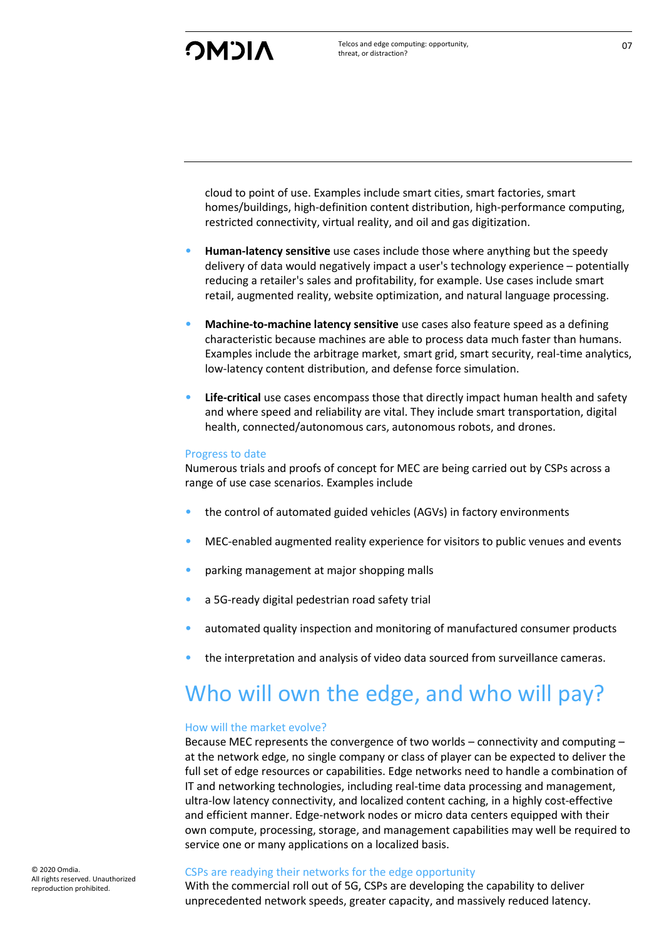cloud to point of use. Examples include smart cities, smart factories, smart homes/buildings, high-definition content distribution, high-performance computing, restricted connectivity, virtual reality, and oil and gas digitization.

- **Human-latency sensitive** use cases include those where anything but the speedy delivery of data would negatively impact a user's technology experience – potentially reducing a retailer's sales and profitability, for example. Use cases include smart retail, augmented reality, website optimization, and natural language processing.
- **Machine-to-machine latency sensitive** use cases also feature speed as a defining characteristic because machines are able to process data much faster than humans. Examples include the arbitrage market, smart grid, smart security, real-time analytics, low-latency content distribution, and defense force simulation.
- **Life-critical** use cases encompass those that directly impact human health and safety and where speed and reliability are vital. They include smart transportation, digital health, connected/autonomous cars, autonomous robots, and drones.

#### Progress to date

Numerous trials and proofs of concept for MEC are being carried out by CSPs across a range of use case scenarios. Examples include

- the control of automated guided vehicles (AGVs) in factory environments
- MEC-enabled augmented reality experience for visitors to public venues and events
- parking management at major shopping malls
- a 5G-ready digital pedestrian road safety trial
- automated quality inspection and monitoring of manufactured consumer products
- the interpretation and analysis of video data sourced from surveillance cameras.

### <span id="page-7-0"></span>Who will own the edge, and who will pay?

#### How will the market evolve?

Because MEC represents the convergence of two worlds – connectivity and computing – at the network edge, no single company or class of player can be expected to deliver the full set of edge resources or capabilities. Edge networks need to handle a combination of IT and networking technologies, including real-time data processing and management, ultra-low latency connectivity, and localized content caching, in a highly cost-effective and efficient manner. Edge-network nodes or micro data centers equipped with their own compute, processing, storage, and management capabilities may well be required to service one or many applications on a localized basis.

#### CSPs are readying their networks for the edge opportunity

With the commercial roll out of 5G, CSPs are developing the capability to deliver unprecedented network speeds, greater capacity, and massively reduced latency.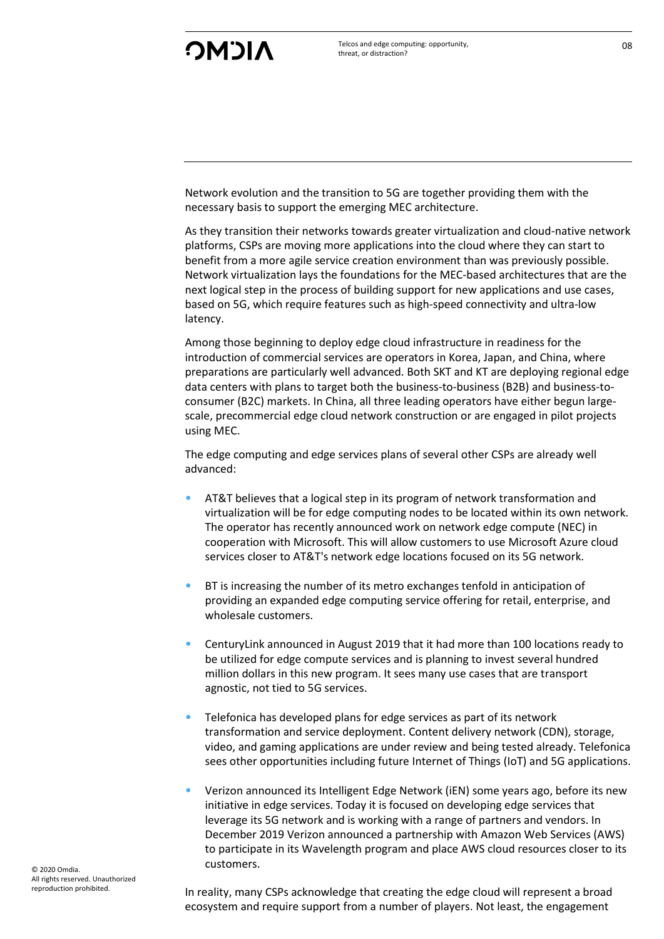Network evolution and the transition to 5G are together providing them with the necessary basis to support the emerging MEC architecture.

As they transition their networks towards greater virtualization and cloud-native network platforms, CSPs are moving more applications into the cloud where they can start to benefit from a more agile service creation environment than was previously possible. Network virtualization lays the foundations for the MEC-based architectures that are the next logical step in the process of building support for new applications and use cases, based on 5G, which require features such as high-speed connectivity and ultra-low latency.

Among those beginning to deploy edge cloud infrastructure in readiness for the introduction of commercial services are operators in Korea, Japan, and China, where preparations are particularly well advanced. Both SKT and KT are deploying regional edge data centers with plans to target both the business-to-business (B2B) and business-toconsumer (B2C) markets. In China, all three leading operators have either begun largescale, precommercial edge cloud network construction or are engaged in pilot projects using MEC.

The edge computing and edge services plans of several other CSPs are already well advanced:

- AT&T believes that a logical step in its program of network transformation and virtualization will be for edge computing nodes to be located within its own network. The operator has recently announced work on network edge compute (NEC) in cooperation with Microsoft. This will allow customers to use Microsoft Azure cloud services closer to AT&T's network edge locations focused on its 5G network.
- BT is increasing the number of its metro exchanges tenfold in anticipation of providing an expanded edge computing service offering for retail, enterprise, and wholesale customers.
- CenturyLink announced in August 2019 that it had more than 100 locations ready to be utilized for edge compute services and is planning to invest several hundred million dollars in this new program. It sees many use cases that are transport agnostic, not tied to 5G services.
- Telefonica has developed plans for edge services as part of its network transformation and service deployment. Content delivery network (CDN), storage, video, and gaming applications are under review and being tested already. Telefonica sees other opportunities including future Internet of Things (IoT) and 5G applications.
- Verizon announced its Intelligent Edge Network (iEN) some years ago, before its new initiative in edge services. Today it is focused on developing edge services that leverage its 5G network and is working with a range of partners and vendors. In December 2019 Verizon announced a partnership with Amazon Web Services (AWS) to participate in its Wavelength program and place AWS cloud resources closer to its customers.

In reality, many CSPs acknowledge that creating the edge cloud will represent a broad ecosystem and require support from a number of players. Not least, the engagement

© 2020 Omdia. All rights reserved. Unauthorized reproduction prohibited.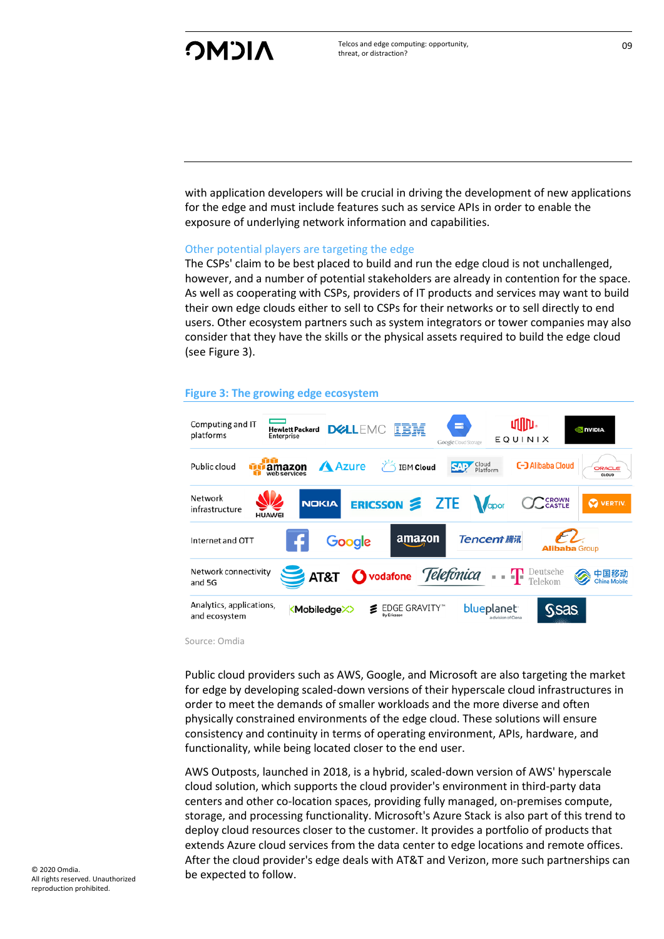with application developers will be crucial in driving the development of new applications for the edge and must include features such as service APIs in order to enable the exposure of underlying network information and capabilities.

#### Other potential players are targeting the edge

The CSPs' claim to be best placed to build and run the edge cloud is not unchallenged, however, and a number of potential stakeholders are already in contention for the space. As well as cooperating with CSPs, providers of IT products and services may want to build their own edge clouds either to sell to CSPs for their networks or to sell directly to end users. Other ecosystem partners such as system integrators or tower companies may also consider that they have the skills or the physical assets required to build the edge cloud (see Figure 3).

#### **Figure 3: The growing edge ecosystem**



Source: Omdia

Public cloud providers such as AWS, Google, and Microsoft are also targeting the market for edge by developing scaled-down versions of their hyperscale cloud infrastructures in order to meet the demands of smaller workloads and the more diverse and often physically constrained environments of the edge cloud. These solutions will ensure consistency and continuity in terms of operating environment, APIs, hardware, and functionality, while being located closer to the end user.

AWS Outposts, launched in 2018, is a hybrid, scaled-down version of AWS' hyperscale cloud solution, which supports the cloud provider's environment in third-party data centers and other co-location spaces, providing fully managed, on-premises compute, storage, and processing functionality. Microsoft's Azure Stack is also part of this trend to deploy cloud resources closer to the customer. It provides a portfolio of products that extends Azure cloud services from the data center to edge locations and remote offices. After the cloud provider's edge deals with AT&T and Verizon, more such partnerships can be expected to follow.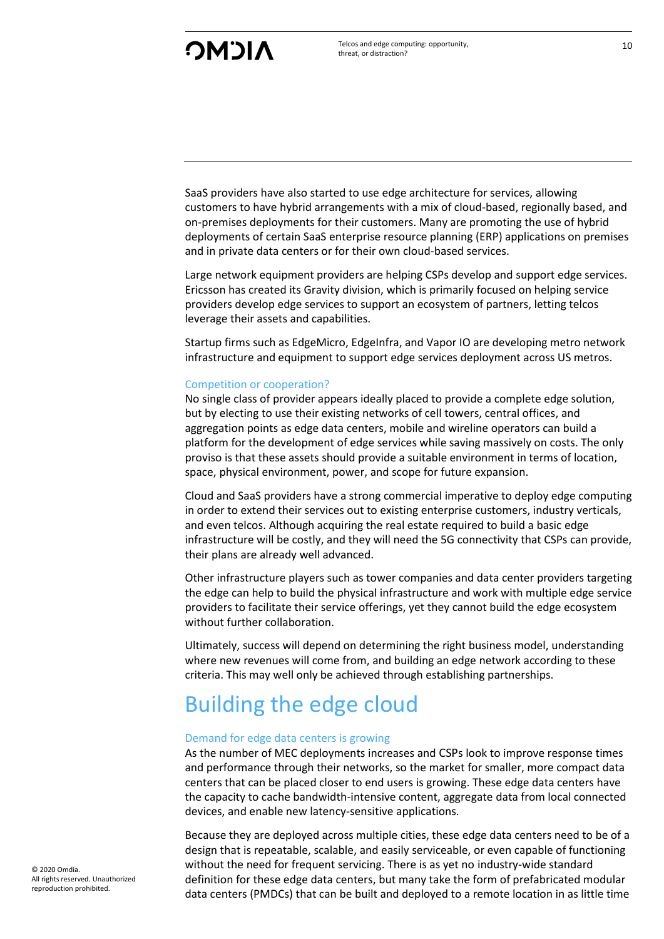SaaS providers have also started to use edge architecture for services, allowing customers to have hybrid arrangements with a mix of cloud-based, regionally based, and on-premises deployments for their customers. Many are promoting the use of hybrid deployments of certain SaaS enterprise resource planning (ERP) applications on premises and in private data centers or for their own cloud-based services.

Large network equipment providers are helping CSPs develop and support edge services. Ericsson has created its Gravity division, which is primarily focused on helping service providers develop edge services to support an ecosystem of partners, letting telcos leverage their assets and capabilities.

Startup firms such as EdgeMicro, EdgeInfra, and Vapor IO are developing metro network infrastructure and equipment to support edge services deployment across US metros.

#### Competition or cooperation?

No single class of provider appears ideally placed to provide a complete edge solution, but by electing to use their existing networks of cell towers, central offices, and aggregation points as edge data centers, mobile and wireline operators can build a platform for the development of edge services while saving massively on costs. The only proviso is that these assets should provide a suitable environment in terms of location, space, physical environment, power, and scope for future expansion.

Cloud and SaaS providers have a strong commercial imperative to deploy edge computing in order to extend their services out to existing enterprise customers, industry verticals, and even telcos. Although acquiring the real estate required to build a basic edge infrastructure will be costly, and they will need the 5G connectivity that CSPs can provide, their plans are already well advanced.

Other infrastructure players such as tower companies and data center providers targeting the edge can help to build the physical infrastructure and work with multiple edge service providers to facilitate their service offerings, yet they cannot build the edge ecosystem without further collaboration.

Ultimately, success will depend on determining the right business model, understanding where new revenues will come from, and building an edge network according to these criteria. This may well only be achieved through establishing partnerships.

## <span id="page-10-0"></span>Building the edge cloud

#### Demand for edge data centers is growing

As the number of MEC deployments increases and CSPs look to improve response times and performance through their networks, so the market for smaller, more compact data centers that can be placed closer to end users is growing. These edge data centers have the capacity to cache bandwidth-intensive content, aggregate data from local connected devices, and enable new latency-sensitive applications.

Because they are deployed across multiple cities, these edge data centers need to be of a design that is repeatable, scalable, and easily serviceable, or even capable of functioning without the need for frequent servicing. There is as yet no industry-wide standard definition for these edge data centers, but many take the form of prefabricated modular data centers (PMDCs) that can be built and deployed to a remote location in as little time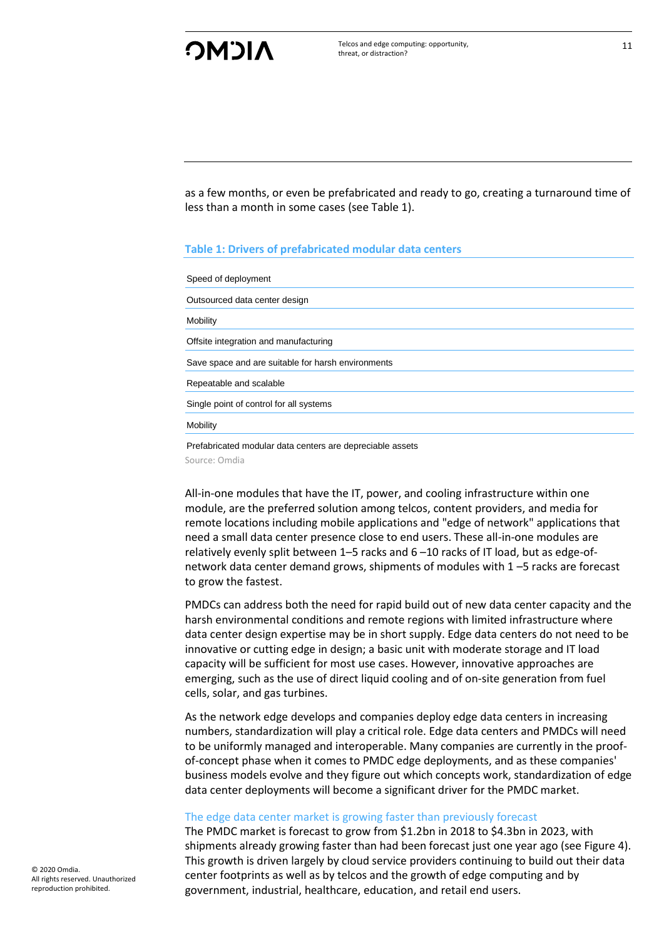as a few months, or even be prefabricated and ready to go, creating a turnaround time of less than a month in some cases (see Table 1).

#### **Table 1: Drivers of prefabricated modular data centers**

| Speed of deployment                                |
|----------------------------------------------------|
| Outsourced data center design                      |
| Mobility                                           |
| Offsite integration and manufacturing              |
| Save space and are suitable for harsh environments |
| Repeatable and scalable                            |
| Single point of control for all systems            |
| Mobility                                           |
|                                                    |

Prefabricated modular data centers are depreciable assets Source: Omdia

All-in-one modules that have the IT, power, and cooling infrastructure within one module, are the preferred solution among telcos, content providers, and media for remote locations including mobile applications and "edge of network" applications that need a small data center presence close to end users. These all-in-one modules are relatively evenly split between 1–5 racks and 6 –10 racks of IT load, but as edge-ofnetwork data center demand grows, shipments of modules with 1 –5 racks are forecast to grow the fastest.

PMDCs can address both the need for rapid build out of new data center capacity and the harsh environmental conditions and remote regions with limited infrastructure where data center design expertise may be in short supply. Edge data centers do not need to be innovative or cutting edge in design; a basic unit with moderate storage and IT load capacity will be sufficient for most use cases. However, innovative approaches are emerging, such as the use of direct liquid cooling and of on-site generation from fuel cells, solar, and gas turbines.

As the network edge develops and companies deploy edge data centers in increasing numbers, standardization will play a critical role. Edge data centers and PMDCs will need to be uniformly managed and interoperable. Many companies are currently in the proofof-concept phase when it comes to PMDC edge deployments, and as these companies' business models evolve and they figure out which concepts work, standardization of edge data center deployments will become a significant driver for the PMDC market.

#### The edge data center market is growing faster than previously forecast

The PMDC market is forecast to grow from \$1.2bn in 2018 to \$4.3bn in 2023, with shipments already growing faster than had been forecast just one year ago (see Figure 4). This growth is driven largely by cloud service providers continuing to build out their data center footprints as well as by telcos and the growth of edge computing and by government, industrial, healthcare, education, and retail end users.

© 2020 Omdia. All rights reserved. Unauthorized reproduction prohibited.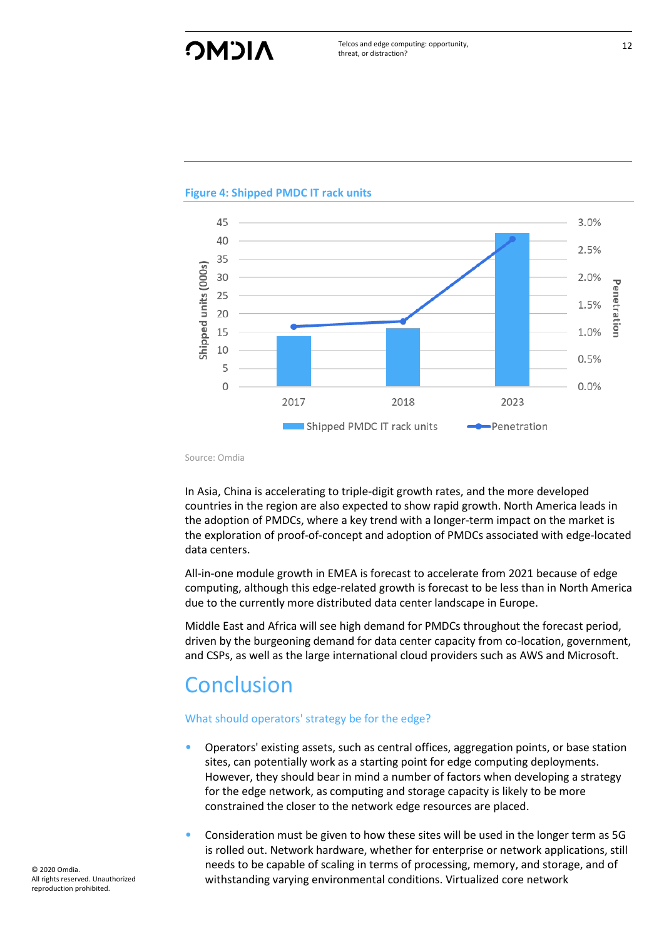## **NICMC**



#### **Figure 4: Shipped PMDC IT rack units**

Source: Omdia

In Asia, China is accelerating to triple-digit growth rates, and the more developed countries in the region are also expected to show rapid growth. North America leads in the adoption of PMDCs, where a key trend with a longer-term impact on the market is the exploration of proof-of-concept and adoption of PMDCs associated with edge-located data centers.

All-in-one module growth in EMEA is forecast to accelerate from 2021 because of edge computing, although this edge-related growth is forecast to be less than in North America due to the currently more distributed data center landscape in Europe.

Middle East and Africa will see high demand for PMDCs throughout the forecast period, driven by the burgeoning demand for data center capacity from co-location, government, and CSPs, as well as the large international cloud providers such as AWS and Microsoft.

## <span id="page-12-0"></span>**Conclusion**

#### What should operators' strategy be for the edge?

- Operators' existing assets, such as central offices, aggregation points, or base station sites, can potentially work as a starting point for edge computing deployments. However, they should bear in mind a number of factors when developing a strategy for the edge network, as computing and storage capacity is likely to be more constrained the closer to the network edge resources are placed.
- Consideration must be given to how these sites will be used in the longer term as 5G is rolled out. Network hardware, whether for enterprise or network applications, still needs to be capable of scaling in terms of processing, memory, and storage, and of withstanding varying environmental conditions. Virtualized core network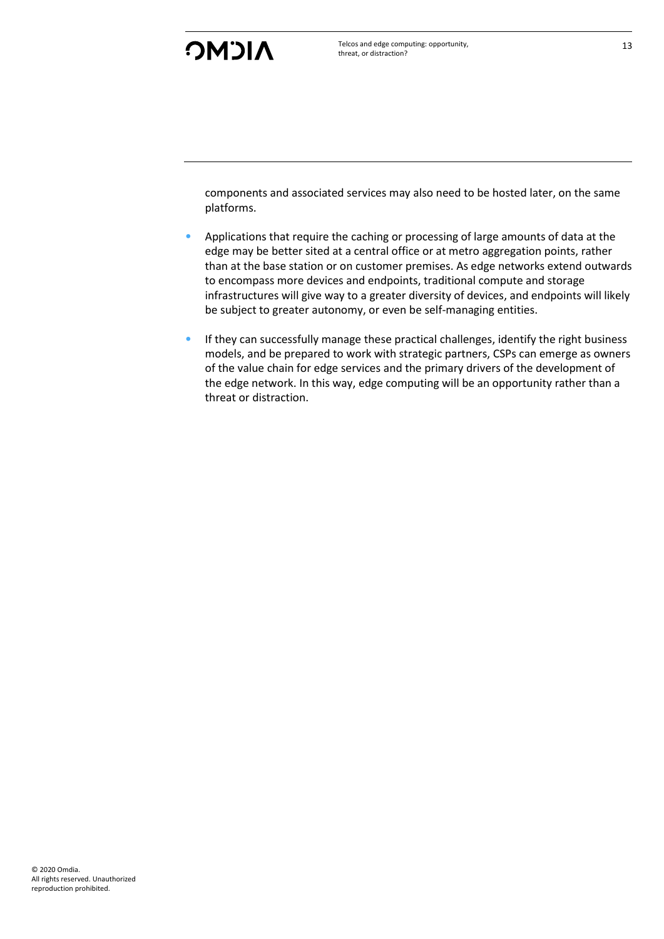components and associated services may also need to be hosted later, on the same platforms.

- Applications that require the caching or processing of large amounts of data at the edge may be better sited at a central office or at metro aggregation points, rather than at the base station or on customer premises. As edge networks extend outwards to encompass more devices and endpoints, traditional compute and storage infrastructures will give way to a greater diversity of devices, and endpoints will likely be subject to greater autonomy, or even be self-managing entities.
- If they can successfully manage these practical challenges, identify the right business models, and be prepared to work with strategic partners, CSPs can emerge as owners of the value chain for edge services and the primary drivers of the development of the edge network. In this way, edge computing will be an opportunity rather than a threat or distraction.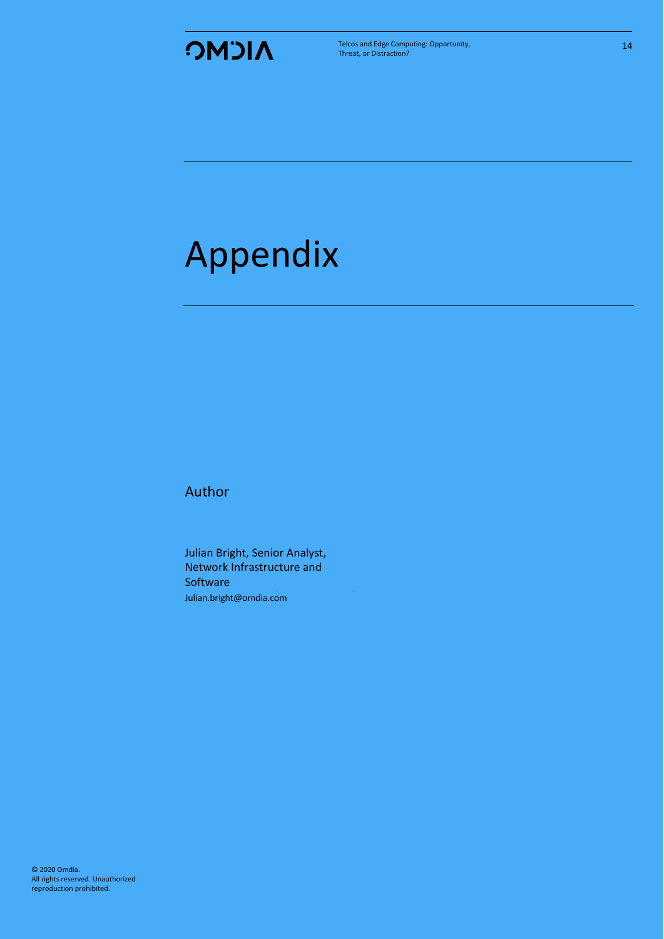

Telcos and Edge Computing: Opportunity, Threat, or Distraction?

# <span id="page-14-0"></span>Appendix

Author

Julian Bright, Senior Analyst, Network Infrastructure and **Software** Julian.bright@omdia.com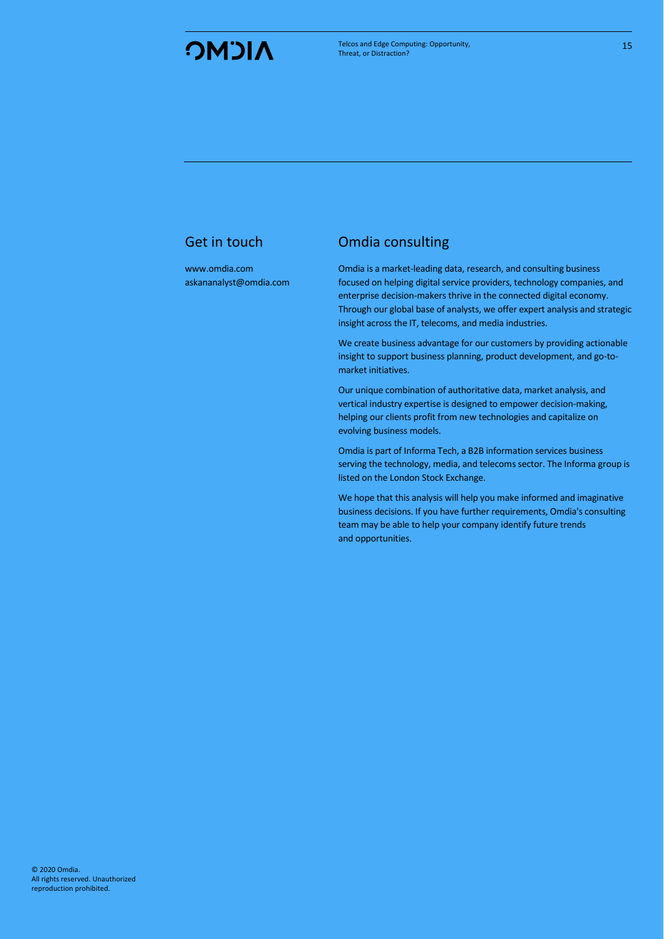[www.omdia.com](http://www.omdia.com/) askananalyst@omdia.com

#### Get in touch **Omdia** consulting

Omdia is a market-leading data, research, and consulting business focused on helping digital service providers, technology companies, and enterprise decision-makers thrive in the connected digital economy. Through our global base of analysts, we offer expert analysis and strategic insight across the IT, telecoms, and media industries.

We create business advantage for our customers by providing actionable insight to support business planning, product development, and go-tomarket initiatives.

Our unique combination of authoritative data, market analysis, and vertical industry expertise is designed to empower decision-making, helping our clients profit from new technologies and capitalize on evolving business models.

Omdia is part of Informa Tech, a B2B information services business serving the technology, media, and telecoms sector. The Informa group is listed on the London Stock Exchange.

We hope that this analysis will help you make informed and imaginative business decisions. If you have further requirements, Omdia's consulting team may be able to help your company identify future trends and opportunities.